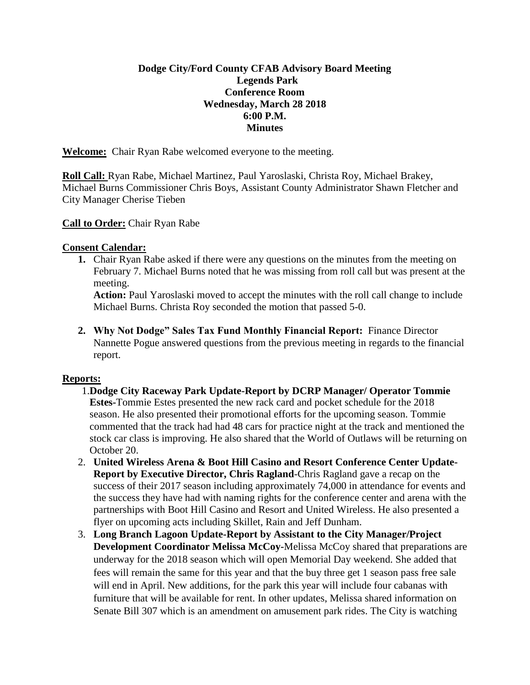## **Dodge City/Ford County CFAB Advisory Board Meeting Legends Park Conference Room Wednesday, March 28 2018 6:00 P.M. Minutes**

**Welcome:** Chair Ryan Rabe welcomed everyone to the meeting.

**Roll Call:** Ryan Rabe, Michael Martinez, Paul Yaroslaski, Christa Roy, Michael Brakey, Michael Burns Commissioner Chris Boys, Assistant County Administrator Shawn Fletcher and City Manager Cherise Tieben

## **Call to Order:** Chair Ryan Rabe

#### **Consent Calendar:**

**1.** Chair Ryan Rabe asked if there were any questions on the minutes from the meeting on February 7. Michael Burns noted that he was missing from roll call but was present at the meeting.

**Action:** Paul Yaroslaski moved to accept the minutes with the roll call change to include Michael Burns. Christa Roy seconded the motion that passed 5-0.

**2. Why Not Dodge" Sales Tax Fund Monthly Financial Report:** Finance Director Nannette Pogue answered questions from the previous meeting in regards to the financial report.

#### **Reports:**

- 1.**Dodge City Raceway Park Update-Report by DCRP Manager/ Operator Tommie Estes-**Tommie Estes presented the new rack card and pocket schedule for the 2018 season. He also presented their promotional efforts for the upcoming season. Tommie commented that the track had had 48 cars for practice night at the track and mentioned the stock car class is improving. He also shared that the World of Outlaws will be returning on October 20.
- 2. **United Wireless Arena & Boot Hill Casino and Resort Conference Center Update-Report by Executive Director, Chris Ragland**-Chris Ragland gave a recap on the success of their 2017 season including approximately 74,000 in attendance for events and the success they have had with naming rights for the conference center and arena with the partnerships with Boot Hill Casino and Resort and United Wireless. He also presented a flyer on upcoming acts including Skillet, Rain and Jeff Dunham.
- 3. **Long Branch Lagoon Update-Report by Assistant to the City Manager/Project Development Coordinator Melissa McCoy-**Melissa McCoy shared that preparations are underway for the 2018 season which will open Memorial Day weekend. She added that fees will remain the same for this year and that the buy three get 1 season pass free sale will end in April. New additions, for the park this year will include four cabanas with furniture that will be available for rent. In other updates, Melissa shared information on Senate Bill 307 which is an amendment on amusement park rides. The City is watching